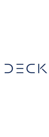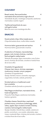# **COUVERT**

| Bread variety, flavoured butter,<br>marinated olives and extra virgin olive oil<br>Variedade de pão, manteiga composta, azeitonas<br>marinadas e azeite virgem                                                                                                                                                                                                                       | 4  |
|--------------------------------------------------------------------------------------------------------------------------------------------------------------------------------------------------------------------------------------------------------------------------------------------------------------------------------------------------------------------------------------|----|
| Traditional bread bolo do caco<br>with garlic butter<br>Bolo do caco com manteiga de alho                                                                                                                                                                                                                                                                                            | 4  |
| <b>SNACKS</b>                                                                                                                                                                                                                                                                                                                                                                        |    |
| Sweet potato chips, tikka masala sauce<br>Chips de batata doce, molho tikka masala                                                                                                                                                                                                                                                                                                   | 4  |
| Hummus tahini, guacamole and nachos<br>Hummus tahini, guacamole e nachos                                                                                                                                                                                                                                                                                                             | 5  |
| A selection of cheeses, macerated figs,<br>grapes, nuts, tomato chutney, crackers,<br>herb and garlic melba toasts<br>Seleção de queijos, figos macerados, uvas, frutos<br>secos, chutney de tomate, crackers e tostas finas<br>de ervas e alho                                                                                                                                      | 13 |
| Omelette (3 ingredients)<br>Cheese, ham, bacon, shrimps, asparagus,<br>mushrooms, tomato, onions, peppers<br>Omelete (3 ingredientes)<br>Queijo, fiambre, bacon, camarão, espargos,<br>cogumelos, tomate, cebola, pimentos                                                                                                                                                           | 14 |
| Smoked salmon or traditional cured<br>ham omelette<br>Omelete salmão fumado ou presunto                                                                                                                                                                                                                                                                                              | 17 |
| Pata Negra smoked ham, marinated olives,<br>toast and grissinis<br>Presunto Pata Negra, azeitonas marinadas,<br>tostas e grissinis                                                                                                                                                                                                                                                   | 21 |
| Cheddar cheese, Danish blue, roast beef,<br>pickled onions, cornichons, boiled egg, radish,<br>celery, apple, Dijon mustard, tomato chutney,<br>crackers, herb and garlic melba toasts<br>Queijo cheddar, Danish blue, rosbife, cebola em<br>pickle, cornichons, ovo cozido, rabanetes, aipo,<br>maça, mostarda Dijon, chutney de tomate, crackers<br>e tostas finas de ervas e alho | 22 |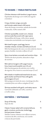# **TO SHARE //** *PARA PARTILHAR*

| Chicken skewers with tandoori yogurt sauce<br>Espetadas de frango com molho de iogurte<br>e tandoori                                                                                                               | 8  |
|--------------------------------------------------------------------------------------------------------------------------------------------------------------------------------------------------------------------|----|
| Crispy chicken wings, avocado<br>and tomato salad sweet chilli sauce<br>Asas de frango crocantes, salada de tomate<br>e abacate, molho sweet chilli                                                                | 8  |
| Chicken quesadilla, sweet corn, cheese<br>and avocado flavoured with cajun spice<br>Quesadillas de frango, milho doce, queijo<br>e abacate aromatizado com tempero cajun                                           | 9  |
| Mini beef burgers, quail egg, bacon,                                                                                                                                                                               | 13 |
| cheddar cheese, tomato and lettuce (2 uni)<br>Mini hambúrgueres de vaca, ovo de codorniz, bacon,<br>queijo cheddar, tomate e alface (2 uni)                                                                        |    |
| Spicy tuna tartare, avocado and wonton chips<br>Tártaro de atum picante, abacate e chips<br>de wonton                                                                                                              | 13 |
| Mini salmon burgers with yogurt sauce,<br>lime, kizami and lumpfish roe's (2 uni)<br>Mini hambúrgueres de salmão com molho<br>de iogurte, lima, kizami e ovas de lumpo (2 uni)                                     | 17 |
| Mini steaks in traditional bread bolo do caco,<br>garlic butter and french fries with garlic<br>and oregano (2 uni.)<br>Mini pregos em bolo do caco, manteiga de alho<br>e batata frita com alho e orégãos (2 uni) | 18 |
| Shrimps sautéed with garlic, and satay sauce<br>Camarão salteado com alho, coentros<br>e molho satay                                                                                                               | 18 |
| <b>ENTRÉES // ENTRADAS</b>                                                                                                                                                                                         |    |
| Soup of the day<br>Sopa do dia                                                                                                                                                                                     | 6  |
| Classic Ceasar salad with romaine lettuce,<br>garlic croutons, anchovies, boiled egg                                                                                                                               | 11 |

and parmesan cheese *Salada Caesar clássica com alface romana, croutons de alho, anchovas, ovo cozido e lascas de parmesão*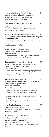| Vegetarian club sandwich with lettuce,<br>tomato, avocado, tofu with pesto sauce<br>Sanduíche Club vegetariana com alface,<br>tomate, abacate, tofu com pesto                                                                                                                                            | 11 |
|----------------------------------------------------------------------------------------------------------------------------------------------------------------------------------------------------------------------------------------------------------------------------------------------------------|----|
| Club sandwich, lettuce, cheese, tomato,<br>egg, bacon and chicken breast<br>Sanduíche Club com alface, queijo, tomate,<br>ovo, bacon e peito de frango                                                                                                                                                   | 11 |
| Greek salad with feta cheese, black olives,<br>bell peppers, cucumber, tomato, red onion, oregano,<br>avocado and lettuce<br>Salada grega com queijo feta marinado, azeitonas<br>pretas, pimentos, pepino, tomate, cebola roxa,<br>orégãos, abacate e alface                                             | 12 |
| Salad of avocado, mango, tomato,<br>cucumber, onion and curd cheese<br>from Santo da Serra<br>Salada de abacate com manga, tomate, pepino,<br>cebola e requeijão do Santo da Serra                                                                                                                       | 12 |
| Cobb salad with bacon, grilled chicken<br>breast, romaine lettuce, blue cheese, tomato,<br>avocado, boiled egg, spring onion<br>and ranch sauce<br>Salada Cobb com bacon, peito de frango grelhado,<br>alface romana, queijo azul, tomate, abacate, ovo<br>cozido, cebolo e molho ranch                  | 14 |
| Niçoise salad with grilled tuna fish,<br>quail egg, new potatoes, cherry tomatoes, black<br>olives, red onion, green beans,<br>marinated anchovies<br>Salada Niçoise com atum grelhado, ovo de codorniz,<br>batata nova, tomate cereja, azeitonas pretas,<br>cebola roxa, feijão verde, anchova marinada | 15 |
| Chicken fajitas with homemade guacamole<br>and salsa<br>Fajitas de frango com guacamole e molho caseiro                                                                                                                                                                                                  | 17 |
| Spicy Thai beef salad with cucumber,<br>avocado, tomato and onion<br>Salada picante de bife Thai com pepino, abacate,<br>tomate e cebola                                                                                                                                                                 | 17 |
| Roasted pork belly, sautéed prawns,<br>traditional bread bolo do caco, avocado,<br>red onions and lime mayonnaise<br>Barriga de porco assada, camarão salteado,<br>bolo do caco, abacate, cebola roxa e maionese<br>de lima                                                                              | 19 |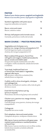#### **PASTAS**

| Massa à sua escolha: penne, esparguete e tagliatelle                                                                                                                                                                                     |    |
|------------------------------------------------------------------------------------------------------------------------------------------------------------------------------------------------------------------------------------------|----|
| Sautéed vegetables with pesto sauce<br>Legumes salteados com pesto                                                                                                                                                                       | 13 |
| Bacon, onion and cream<br>Bacon, cebola e natas                                                                                                                                                                                          | 14 |
| Shrimps, bell peppers and a tomato sauce<br>Camarão, pimentos e molho de tomate                                                                                                                                                          | 18 |
| <b>MAIN COURSE // PRATOS PRINCIPAIS</b>                                                                                                                                                                                                  |    |
| Vegetables and chickpeas curry,<br>jasmine rice, mango chutney and papadums (V)<br>Caril de legumes e grão, arroz jasmim,<br>chutney de manga e pappadums $(V)$                                                                          | 12 |
| Black scabbard fish goujons, french fries<br>with garlic and oregano, traditional escabeche<br>sauce, tomato and shallot salad<br>Goujons de espada, batata frita com alho<br>e orégãos, molho escabeche, salada de tomate<br>e chalotas | 17 |
| Tuna steak, traditional fried corn<br>or french fries, fresh salad or vegetables,<br>regional vilão sauce<br>Bife de atum, milho frito ou batata frita,<br>salada fresca ou legumes                                                      | 20 |
| Codfish confit in olive oil and garlic, chickpea<br>and cabbage brás<br>Bacalhau confitado em azeite e alho, brás de grão<br>de bico e couve                                                                                             | 23 |
| Fresh fish from the harbour per kg<br>(price on request)<br>Peixe fresco da lota ao kg (preço sob consulta)                                                                                                                              |    |
| Chicken curry, jasmine rice, mango chutney<br>and papadums<br>Caril de frango, arroz jasmim, chutney de manga<br>e pappadums                                                                                                             | 21 |
| Cottage pie<br>Empadão de carne moída                                                                                                                                                                                                    | 21 |
| Pork cataplana, clams and sweet potato<br>Cataplana de porco, amêijoas e batata doce                                                                                                                                                     | 26 |
| Bife, bacon, huevos rancheros with green peas,<br>roasted sweet potatoes or sautéed potatoes<br>or french fries                                                                                                                          | 29 |
| Bife, bacon, huevos rancheros com ervilhas verdes,<br>batata doce assada ou batata salteada<br>ou batata frita                                                                                                                           |    |

**Pasta of your choice: penne, spaghetti and tagliatelle**  *Massa à sua escolha: penne, esparguete e tagliatelle*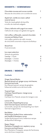## **DESSERTS //** *SOBREMESAS*

| Chocolate mousse and cocoa crumble<br>Mousse de chocolate com crumble de cacau                                                                                  | 7           |
|-----------------------------------------------------------------------------------------------------------------------------------------------------------------|-------------|
| Apple tart, vanilla ice cream, salted<br>caramel sauce<br>Tarte de maçã, gelado de baunilha<br>e molho de caramelo salgado                                      | 7           |
| Cherry clafoutis with yogurt ice cream<br>Clafoutis de cereja com gelado de iogurte                                                                             | 9           |
| Irish coffee, coffee jelly, caramel chocolate<br>mousse and Baileys foam<br>Irish coffee, gelatina de café, mousse<br>de chocolate caramelo e espuma de Baileys | 9           |
| Sliced fruit<br>Fruta laminada                                                                                                                                  | 8           |
| lce cream selection<br>Seleção de gelados<br>1scoop//1bola<br>2 scoops // 2 bolas<br>3 scoops // 3 bolas                                                        | 4<br>5<br>6 |



# **DRINKS** *// BEBIDAS*

#### **Cocktails**

| Ginger Spiced Mojito<br>Bacardi spiced rum, ginger syrup, mint leaves,<br>lime juice and soda<br>Rum Bacardi spiced, xarope de gengibre,<br>folhas de hortelã, sumo de lima e soda | 8  |
|------------------------------------------------------------------------------------------------------------------------------------------------------------------------------------|----|
| <b>Tropical Caipi</b><br>Cachaça, Passoã liqueur, mango syrup<br>and grapes<br>Cachaça, licor Passoã, xarope de manga e uvas                                                       | 8  |
| Lemon & Tea<br>Limoncello, Darjeeling tea syrup,<br>Saint Germain liqueur and tonic water<br>Limoncello, xarope de chá Darjeeling, licor Saint<br>Germain e água tónica            | 8  |
| <b>Red Water</b><br>Stolichnaya Vodka & lime, watermelon<br>and Vanilla & Strawberry syrup<br>Vodka Stolichnaya & lima, melancia e xarope<br>de Baunilha & Morango                 | 8  |
| Raspy-Daiqui<br>Plantation Pineapple rum, raspberry syrup,<br>lime juice and basil leaves<br>Rum Plantation Pineapple, xarope de framboesa,<br>sumo de lima e manjericão           | 10 |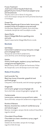Frozen Treatment 10 José Cuervo Silver tequila & black tea, grapefruit juice, honey & Szechuan pepper syrup and strawberries Tequila José Cuervo Silver & chá preto, sumo de toranja e xarope de mel & pimenta Szechuan e morangos Ocean Fizz 10 Bombay Sapphire gin & lemon balm, lemon juice, mustard, honey & eucaliptus syrup and soda Gin Bombay Sapphire & cidreira, sumo de limão, mostarda, xarope de mel & eucalipto e soda Aperol Spritz 13 Aperol, Adega Mãe Bruto sparkling wine and soda Aperol, espumante Adega Mãe Bruto e soda **Mocktails** Soft Water 7 Camomile & cardamom syrup, lime juice, orange juice and ginger beer Xarope de camomila & cardamomo, sumo de lima, sumo de laranja e ginger beer Pebble 7 Granny Smith apple, raspberry syrup, basil leaves, orange juice and apple juice Maçã Granny Smith, xarope de framboesa, folhas de manjericão, sumo de laranja e sumo de maçã **Shakes & Smoothies** Iced Lavender Tea 4 Black tea, honey & lavender, grapefruit zest and fresh ginger Chá preto, mel & lavanda, zest de toranja e gengibre Gingerade 5 Lemon juice, ginger syrup and ginger ale Sumo de limão, xarope de gengibre e ginger ale Cardamonade 5 Lemon juice, cardamom syrup and tonic water Sumo de limão, xarope de cardamomo e água tónica Rooibos & Banana 7 Banana, strawberries, rooibos & vanilla tea syrup and natural yogurt Banana, morangos, xarope chá de rooibos & baunilha e iogurte natural Chocolate & Soya Shake 7 Chocolate ice cream, strawberry syrup, yogurt and soya milk Gelado de chocolate, xarope de morango, iogurte e leite de soja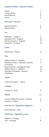# **Appetizer & Bitter//***Aperitivo & Bitter*

| Aperol<br>Campari Bitter<br><b>Fernet Branca</b><br>Ricard                                                                                                                                             | 7<br>8<br>8<br>8                |
|--------------------------------------------------------------------------------------------------------------------------------------------------------------------------------------------------------|---------------------------------|
| Vermouth//Vermute                                                                                                                                                                                      |                                 |
| Martini Ambrato<br>Martini Rubino                                                                                                                                                                      | 8<br>8                          |
| Gin                                                                                                                                                                                                    |                                 |
| Beefeater - England<br>Beefeater Pink - England<br><b>Bombay Sapphire - England</b><br>Hendricks-Scotland                                                                                              | 9<br>10<br>11<br>13             |
| Vodka                                                                                                                                                                                                  |                                 |
| Stolichnaya - Russia                                                                                                                                                                                   | 8                               |
| Rum                                                                                                                                                                                                    |                                 |
| William Hinton 3 - Madeira<br>Plantation 3 Stars - Barbados, Jamaica<br>& Trinidade<br>Bacardi spiced - Santiago de Cuba<br>William Hinton 6 - Madeira<br>Plantation Pineapple - Jamaica<br>& Barbados | $\prime$<br>9<br>10<br>13<br>13 |
| <b>Tequila</b>                                                                                                                                                                                         |                                 |
| Jose Cuervo Silver - Jalisco                                                                                                                                                                           | 10                              |
| Cachaça                                                                                                                                                                                                |                                 |
| Capucana - Brasil                                                                                                                                                                                      | 11                              |
| <b>Whisky</b>                                                                                                                                                                                          | 4 cl                            |
| Johnnie Walker Red Label - Scotland<br>Jameson - Ireland                                                                                                                                               | 8<br>9                          |
| Eaux-de-vie//Aguardente bagaceira                                                                                                                                                                      |                                 |
| Zanin Moscato - Italy                                                                                                                                                                                  | 8                               |
| Old Brandy//Aguardente vínica                                                                                                                                                                          |                                 |
| Macieira - Portugal<br>CRF - Portugal                                                                                                                                                                  | 7<br>8                          |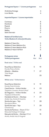| Portuguese liqueur // Licores portugueses                                                                     |         | 4 <sub>cl</sub>            |
|---------------------------------------------------------------------------------------------------------------|---------|----------------------------|
| Amêndoa Amarga<br>Licor Beirão                                                                                |         | 6<br>6                     |
| Imported liqueur//Licores importados                                                                          |         |                            |
| Cointreau<br>Drambuie<br>Passoã<br>Pimm's<br>Malibu<br>Saint Germain                                          |         | 8<br>8<br>8<br>8<br>9<br>9 |
| Madeira & fortified wine<br>Vinho Madeira & vinhos fortificados                                               |         | 6cl                        |
| Madeira 3 Years Dry<br>Madeira 3 Years Medium Dry<br>Madeira 3 Years Medium Rich<br>Madeira 3 Years Full Rich |         | 5<br>5<br>5<br>5           |
| <b>Portuguese wines</b><br><b>Vinhos portugueses</b>                                                          | $15$ cl | 75 cl                      |
| Rosé wine//Vinho rosé                                                                                         |         |                            |
| Royal Savoy Selection<br>Fernão Pires e Arinto<br>Atlantis - Madeira<br><b>Tinta Negra</b><br><b>Mateus</b>   | 5<br>7  | 19<br>27<br>25             |
| White wine//Vinho branco                                                                                      |         |                            |
| Royal Savoy Selection<br>Fernão Pires & Arinto<br>Casal Garcia - Vinhos Verdes                                | 5<br>6  | 19<br>23                   |
| Trajadura, Loureiro, Arinto & Azal<br>Qt. Regueiro - Vinhos Verdes                                            | 6       | 25                         |
| Trajadura & Alvarinho<br>Herdade do Rocim – Alentejo                                                          | 7       | 27                         |
| Antão Vaz, Arinto & Viosinho<br>Quinta da Lapa - Tejo<br>Sauvignon Blanc                                      | 7       | 28                         |
| Quinta da Lapa - Tejo                                                                                         | 7       | 28                         |
| Chardonnay<br>Quinta da Pacheca — Douro 37,5cl<br>Moscatel Galego & Códega                                    |         | 13                         |
| Marquês de Borba - Alentejo 37,5cl<br>Arinto, Antão Vaz & Viognier                                            |         | 15                         |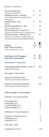#### Red wine//Vinho tinto

| <b>Royal Savoy Selection</b>                                                                                                                                              | 5                | 19               |
|---------------------------------------------------------------------------------------------------------------------------------------------------------------------------|------------------|------------------|
| Aragonez & Castelão<br>Herdade do Rocim – Alentejo                                                                                                                        | 7                | 27               |
| Alicante Bouschet, Touriga Nacional                                                                                                                                       |                  |                  |
| & Aragonez<br>Quinta da Lapa — Tejo                                                                                                                                       | 7                | 29               |
| Merlot<br>Quinta da Lapa Reserva — Tejo                                                                                                                                   | 7                | 33               |
| Cabernet Sauvignon                                                                                                                                                        |                  |                  |
| Quinta da Pacheca - Douro 37,5cl                                                                                                                                          |                  | 13               |
| Tinta Roriz, Tinta Barroca & Touriga Franca<br>Marquês de Borba – Alentejo 37,5cl<br>Aragonez, Trincadeira, Touriga Nacional,<br>Alicante Bouschet, Petit Verdot & Merlot |                  | 15               |
|                                                                                                                                                                           |                  |                  |
| <b>Sangrias</b><br>Rosé   White   Red Wine<br>Vinho Rosé   Branco   Tinto                                                                                                 | 30 cl<br>7       | 100 cl<br>21     |
| Sparkling wine & Champagne<br><b>Espumante e Champanhe</b>                                                                                                                | 15 <sub>cl</sub> | 75 cl            |
| Sparkling wine//Espumante                                                                                                                                                 |                  |                  |
| Pinta Negra Brut Blanc de Noir - Lisboa<br>Aragonez & Caladoc                                                                                                             | 9                | 30               |
| Champagne//Champanhe                                                                                                                                                      |                  |                  |
| <b>Tsarine Cuvée Premium Brut</b><br>Chardonnay, Pinot Noir & Meunier                                                                                                     |                  | 95               |
| Tsarine Cuvée Premium Brut Rosé<br>Chardonnay, Pinot Noir & Meunier                                                                                                       |                  | 115              |
| Other beverages//Outras bebidas                                                                                                                                           |                  |                  |
| Draft beer//Cerveja de pressão                                                                                                                                            |                  |                  |
| Coral Larger 30 cl<br>Coral Larger 50 cl<br>Coral Pure Malte 30 cl<br>Coral Pure Malte 50 cl                                                                              |                  | 4<br>6<br>4<br>6 |
| Bottle beer//Cerveja de garrafa                                                                                                                                           |                  |                  |
| Coral Zero//Alcohol free 20 cl<br>Coral Branca 30 cl<br>Coral Stout 30 cl                                                                                                 |                  | 3<br>4<br>4      |

#### Draft Cider//*Sidra*

Coral Sidra *30 cl/50cl* 5/7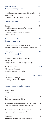| Draft soft drinks<br>Refrigerantes de pressão                                                                                        | 25 cl            |
|--------------------------------------------------------------------------------------------------------------------------------------|------------------|
| Pepsi, Pepsi Zero, Lemonade// Limonada<br>Brisa (36 cl)<br>Passion fruit, apple //Maracujá, maçã                                     | 3<br>3           |
| Nectars//Néctares                                                                                                                    | 20 cl            |
| Compal<br>Peach   pineapple   passion fruit   apple  <br>orange   tomato<br>Pêssego   ananás   maracujá   maçã  <br>laranja   tomate | 3                |
| Premium soft drinks<br>Refrigerantes premium                                                                                         | 20 cl            |
| Indian tonic   Mediterranean tonic  <br>Naturally light tonic   Ginger beer   Ginger ale                                             | 4                |
| Freshly squeezed fruit juices<br>Sumos naturais de fruta                                                                             | 25c              |
| Orange   pineapple   lemon   mango<br>grapefruit<br>Laranja   ananás   limão   manga   toranja                                       | 6                |
| Royal Savoy water<br>Still water // Sem gás<br>Sparkling water // Com gás                                                            | 70 cl<br>4<br>4  |
| Luso<br>25 <sub>cl</sub><br>Still water // Sem gás<br>3<br>Sparkling water // Com gás<br>3                                           | 100 cl<br>5<br>5 |
| Hot beverages//Bebidas quentes                                                                                                       |                  |
| Glass of milk<br>Copo de leite                                                                                                       | 2                |
| Single espresso or macchiato<br>Café expresso ou macchiato                                                                           | 3                |
| Single decaffeinated espresso or macchiato<br>Café descafeinado expresso ou macchiato                                                | 3                |
| Double espresso or double macchiato<br>Expresso duplo ou macchiato duplo                                                             | 4                |
| Chocolate<br>served hot or cold//servido quente ou frio                                                                              | 4                |